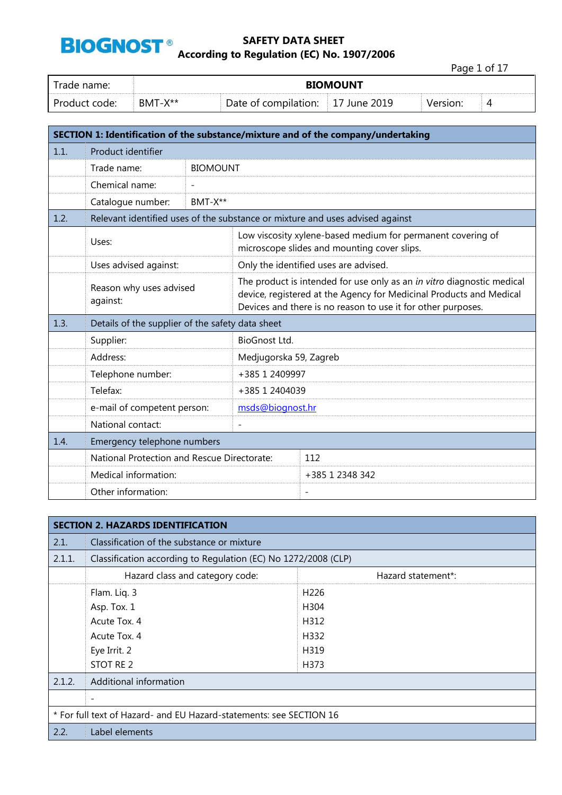

Page 1 of 17 Trade name: **BIOMOUNT**  Product code: BMT-X\*\* Date of compilation: 17 June 2019 Version: 4

| SECTION 1: Identification of the substance/mixture and of the company/undertaking |                                                  |         |                                                                                                                                                                                                               |                                                                                                            |  |  |
|-----------------------------------------------------------------------------------|--------------------------------------------------|---------|---------------------------------------------------------------------------------------------------------------------------------------------------------------------------------------------------------------|------------------------------------------------------------------------------------------------------------|--|--|
| 1.1.                                                                              | Product identifier                               |         |                                                                                                                                                                                                               |                                                                                                            |  |  |
|                                                                                   | Trade name:                                      |         | <b>BIOMOUNT</b>                                                                                                                                                                                               |                                                                                                            |  |  |
|                                                                                   | Chemical name:                                   |         |                                                                                                                                                                                                               |                                                                                                            |  |  |
|                                                                                   | Catalogue number:                                | BMT-X** |                                                                                                                                                                                                               |                                                                                                            |  |  |
| 1.2.                                                                              |                                                  |         |                                                                                                                                                                                                               | Relevant identified uses of the substance or mixture and uses advised against                              |  |  |
|                                                                                   | Uses:                                            |         |                                                                                                                                                                                                               | Low viscosity xylene-based medium for permanent covering of<br>microscope slides and mounting cover slips. |  |  |
|                                                                                   | Uses advised against:                            |         |                                                                                                                                                                                                               | Only the identified uses are advised.                                                                      |  |  |
|                                                                                   | Reason why uses advised<br>against:              |         | The product is intended for use only as an in vitro diagnostic medical<br>device, registered at the Agency for Medicinal Products and Medical<br>Devices and there is no reason to use it for other purposes. |                                                                                                            |  |  |
| 1.3.                                                                              | Details of the supplier of the safety data sheet |         |                                                                                                                                                                                                               |                                                                                                            |  |  |
|                                                                                   | Supplier:                                        |         | <b>BioGnost Ltd.</b>                                                                                                                                                                                          |                                                                                                            |  |  |
|                                                                                   | Address:                                         |         | Medjugorska 59, Zagreb                                                                                                                                                                                        |                                                                                                            |  |  |
|                                                                                   | Telephone number:                                |         | +385 1 2409997                                                                                                                                                                                                |                                                                                                            |  |  |
|                                                                                   | Telefax:                                         |         | +385 1 2404039                                                                                                                                                                                                |                                                                                                            |  |  |
|                                                                                   | e-mail of competent person:                      |         | msds@biognost.hr                                                                                                                                                                                              |                                                                                                            |  |  |
|                                                                                   | National contact:                                |         | $\overline{\phantom{a}}$                                                                                                                                                                                      |                                                                                                            |  |  |
| 1.4.                                                                              | Emergency telephone numbers                      |         |                                                                                                                                                                                                               |                                                                                                            |  |  |
|                                                                                   | National Protection and Rescue Directorate:      |         |                                                                                                                                                                                                               | 112                                                                                                        |  |  |
|                                                                                   | Medical information:                             |         |                                                                                                                                                                                                               | +385 1 2348 342                                                                                            |  |  |
|                                                                                   | Other information:                               |         |                                                                                                                                                                                                               | $\overline{\phantom{a}}$                                                                                   |  |  |

|        | <b>SECTION 2. HAZARDS IDENTIFICATION</b>                            |                    |  |  |  |  |
|--------|---------------------------------------------------------------------|--------------------|--|--|--|--|
| 2.1.   | Classification of the substance or mixture                          |                    |  |  |  |  |
| 2.1.1. | Classification according to Regulation (EC) No 1272/2008 (CLP)      |                    |  |  |  |  |
|        | Hazard class and category code:                                     | Hazard statement*: |  |  |  |  |
|        | Flam. Lig. 3                                                        | H <sub>226</sub>   |  |  |  |  |
|        | Asp. Tox. 1<br>H <sub>304</sub>                                     |                    |  |  |  |  |
|        | H312<br>Acute Tox. 4                                                |                    |  |  |  |  |
|        | Acute Tox. 4                                                        | H332               |  |  |  |  |
|        | Eye Irrit. 2                                                        | H319               |  |  |  |  |
|        | STOT RE 2                                                           | H373               |  |  |  |  |
| 2.1.2. | Additional information                                              |                    |  |  |  |  |
|        | $\overline{\phantom{a}}$                                            |                    |  |  |  |  |
|        | * For full text of Hazard- and EU Hazard-statements: see SECTION 16 |                    |  |  |  |  |
| 2.2.   | Label elements                                                      |                    |  |  |  |  |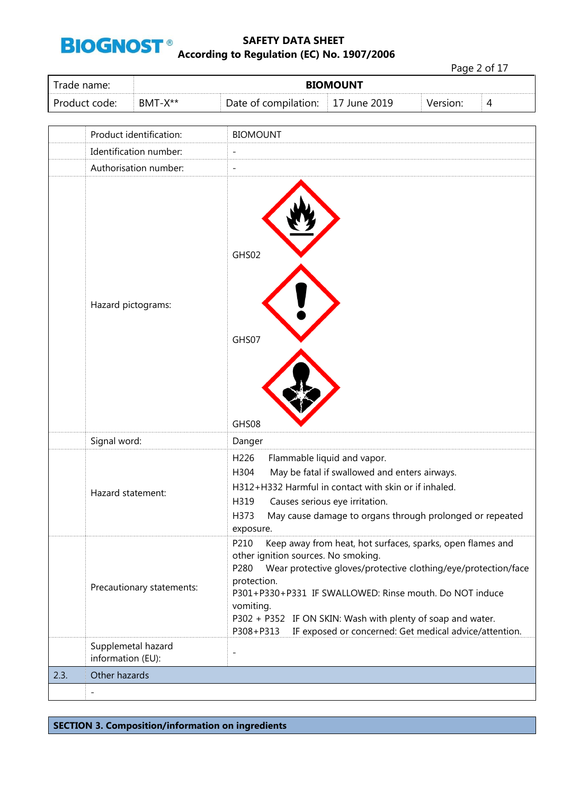

Page 2 of 17 Trade name: **BIOMOUNT**  Product code: BMT-X\*\* Date of compilation: 17 June 2019 Version: 4 Product identification: BIOMOUNT Identification number: Authorisation number: GHS02

|      | Hazard pictograms:                      | GHS02<br>GHS07<br>GHS08                                                                                                                                                                                                                                                                                                                                                                                       |
|------|-----------------------------------------|---------------------------------------------------------------------------------------------------------------------------------------------------------------------------------------------------------------------------------------------------------------------------------------------------------------------------------------------------------------------------------------------------------------|
|      | Signal word:                            | Danger                                                                                                                                                                                                                                                                                                                                                                                                        |
|      | Hazard statement:                       | H226<br>Flammable liquid and vapor.<br>H304<br>May be fatal if swallowed and enters airways.<br>H312+H332 Harmful in contact with skin or if inhaled.<br>Causes serious eye irritation.<br>H319<br>H373<br>May cause damage to organs through prolonged or repeated<br>exposure.                                                                                                                              |
|      | Precautionary statements:               | Keep away from heat, hot surfaces, sparks, open flames and<br>P210<br>other ignition sources. No smoking.<br>Wear protective gloves/protective clothing/eye/protection/face<br>P280<br>protection.<br>P301+P330+P331 IF SWALLOWED: Rinse mouth. Do NOT induce<br>vomiting.<br>P302 + P352 IF ON SKIN: Wash with plenty of soap and water.<br>P308+P313 IF exposed or concerned: Get medical advice/attention. |
|      | Supplemetal hazard<br>information (EU): | $\overline{\phantom{0}}$                                                                                                                                                                                                                                                                                                                                                                                      |
| 2.3. | Other hazards                           |                                                                                                                                                                                                                                                                                                                                                                                                               |
|      |                                         |                                                                                                                                                                                                                                                                                                                                                                                                               |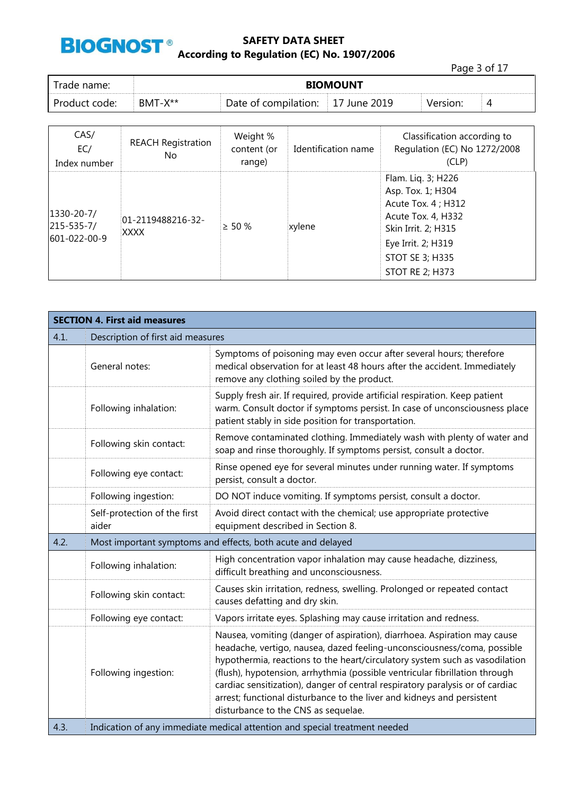

|               |           |                                   |                 |          | Page 3 of 17 |  |
|---------------|-----------|-----------------------------------|-----------------|----------|--------------|--|
| Trade name:   |           |                                   | <b>BIOMOUNT</b> |          |              |  |
| Product code: | $BMT-X**$ | Date of compilation: 17 June 2019 |                 | Version: | 4            |  |
|               |           |                                   |                 |          |              |  |

| CAS/<br>EC/<br>Index number                           | <b>REACH Registration</b><br>No  | Weight %<br>content (or<br>range) | Identification name | Classification according to<br>Regulation (EC) No 1272/2008<br>(CLP)                                                                                                                  |
|-------------------------------------------------------|----------------------------------|-----------------------------------|---------------------|---------------------------------------------------------------------------------------------------------------------------------------------------------------------------------------|
| $1330 - 20 - 7/$<br>$ 215 - 535 - 7 $<br>601-022-00-9 | $01 - 2119488216 - 32 -$<br>XXXX | $\geq 50 \%$                      | xylene              | Flam. Liq. 3; H226<br>Asp. Tox. 1; H304<br>Acute Tox. 4 ; H312<br>Acute Tox. 4, H332<br>Skin Irrit. 2; H315<br>Eye Irrit. 2; H319<br><b>STOT SE 3; H335</b><br><b>STOT RE 2; H373</b> |

|      | <b>SECTION 4. First aid measures</b>                        |                                                                                                                                                                                                                                                                                                                                                                                                                                                                                                                     |  |  |  |  |
|------|-------------------------------------------------------------|---------------------------------------------------------------------------------------------------------------------------------------------------------------------------------------------------------------------------------------------------------------------------------------------------------------------------------------------------------------------------------------------------------------------------------------------------------------------------------------------------------------------|--|--|--|--|
| 4.1. | Description of first aid measures                           |                                                                                                                                                                                                                                                                                                                                                                                                                                                                                                                     |  |  |  |  |
|      | General notes:                                              | Symptoms of poisoning may even occur after several hours; therefore<br>medical observation for at least 48 hours after the accident. Immediately<br>remove any clothing soiled by the product.                                                                                                                                                                                                                                                                                                                      |  |  |  |  |
|      | Following inhalation:                                       | Supply fresh air. If required, provide artificial respiration. Keep patient<br>warm. Consult doctor if symptoms persist. In case of unconsciousness place<br>patient stably in side position for transportation.                                                                                                                                                                                                                                                                                                    |  |  |  |  |
|      | Following skin contact:                                     | Remove contaminated clothing. Immediately wash with plenty of water and<br>soap and rinse thoroughly. If symptoms persist, consult a doctor.                                                                                                                                                                                                                                                                                                                                                                        |  |  |  |  |
|      | Following eye contact:                                      | Rinse opened eye for several minutes under running water. If symptoms<br>persist, consult a doctor.                                                                                                                                                                                                                                                                                                                                                                                                                 |  |  |  |  |
|      | Following ingestion:                                        | DO NOT induce vomiting. If symptoms persist, consult a doctor.                                                                                                                                                                                                                                                                                                                                                                                                                                                      |  |  |  |  |
|      | Self-protection of the first<br>aider                       | Avoid direct contact with the chemical; use appropriate protective<br>equipment described in Section 8.                                                                                                                                                                                                                                                                                                                                                                                                             |  |  |  |  |
| 4.2. | Most important symptoms and effects, both acute and delayed |                                                                                                                                                                                                                                                                                                                                                                                                                                                                                                                     |  |  |  |  |
|      | Following inhalation:                                       | High concentration vapor inhalation may cause headache, dizziness,<br>difficult breathing and unconsciousness.                                                                                                                                                                                                                                                                                                                                                                                                      |  |  |  |  |
|      | Following skin contact:                                     | Causes skin irritation, redness, swelling. Prolonged or repeated contact<br>causes defatting and dry skin.                                                                                                                                                                                                                                                                                                                                                                                                          |  |  |  |  |
|      | Following eye contact:                                      | Vapors irritate eyes. Splashing may cause irritation and redness.                                                                                                                                                                                                                                                                                                                                                                                                                                                   |  |  |  |  |
|      | Following ingestion:                                        | Nausea, vomiting (danger of aspiration), diarrhoea. Aspiration may cause<br>headache, vertigo, nausea, dazed feeling-unconsciousness/coma, possible<br>hypothermia, reactions to the heart/circulatory system such as vasodilation<br>(flush), hypotension, arrhythmia (possible ventricular fibrillation through<br>cardiac sensitization), danger of central respiratory paralysis or of cardiac<br>arrest; functional disturbance to the liver and kidneys and persistent<br>disturbance to the CNS as sequelae. |  |  |  |  |
| 4.3. |                                                             | Indication of any immediate medical attention and special treatment needed                                                                                                                                                                                                                                                                                                                                                                                                                                          |  |  |  |  |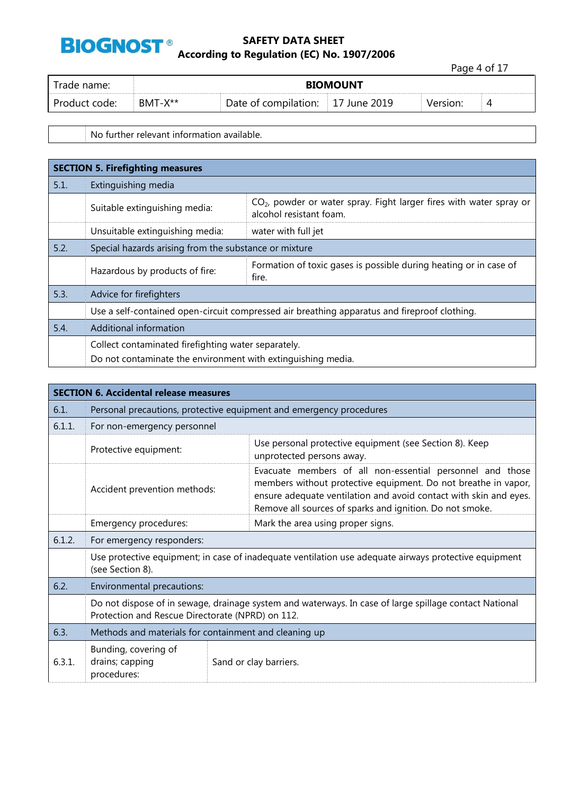

Page 4 of 17

| name:<br>ane       | <b>BIOMOUNT</b>       |                         |              |          |   |  |  |
|--------------------|-----------------------|-------------------------|--------------|----------|---|--|--|
| Product<br>. code: | . - X**<br><b>BMT</b> | compilation:<br>Date of | 2019<br>June | Version: | ∸ |  |  |

No further relevant information available.

|      | <b>SECTION 5. Firefighting measures</b>                                                      |                                                                                                  |  |  |  |  |
|------|----------------------------------------------------------------------------------------------|--------------------------------------------------------------------------------------------------|--|--|--|--|
| 5.1. | Extinguishing media                                                                          |                                                                                                  |  |  |  |  |
|      | Suitable extinguishing media:                                                                | $CO2$ , powder or water spray. Fight larger fires with water spray or<br>alcohol resistant foam. |  |  |  |  |
|      | Unsuitable extinguishing media:                                                              | water with full jet                                                                              |  |  |  |  |
| 5.2. | Special hazards arising from the substance or mixture                                        |                                                                                                  |  |  |  |  |
|      | Hazardous by products of fire:                                                               | Formation of toxic gases is possible during heating or in case of<br>fire.                       |  |  |  |  |
| 5.3. | Advice for firefighters                                                                      |                                                                                                  |  |  |  |  |
|      | Use a self-contained open-circuit compressed air breathing apparatus and fireproof clothing. |                                                                                                  |  |  |  |  |
| 5.4. | Additional information                                                                       |                                                                                                  |  |  |  |  |
|      | Collect contaminated firefighting water separately.                                          |                                                                                                  |  |  |  |  |
|      | Do not contaminate the environment with extinguishing media.                                 |                                                                                                  |  |  |  |  |

| <b>SECTION 6. Accidental release measures</b> |                                                                                                                                                            |                                                                                                                                                                                                                                                              |  |  |  |
|-----------------------------------------------|------------------------------------------------------------------------------------------------------------------------------------------------------------|--------------------------------------------------------------------------------------------------------------------------------------------------------------------------------------------------------------------------------------------------------------|--|--|--|
| 6.1.                                          | Personal precautions, protective equipment and emergency procedures                                                                                        |                                                                                                                                                                                                                                                              |  |  |  |
| 6.1.1.                                        | For non-emergency personnel                                                                                                                                |                                                                                                                                                                                                                                                              |  |  |  |
|                                               | Protective equipment:                                                                                                                                      | Use personal protective equipment (see Section 8). Keep<br>unprotected persons away.                                                                                                                                                                         |  |  |  |
|                                               | Accident prevention methods:                                                                                                                               | Evacuate members of all non-essential personnel and those<br>members without protective equipment. Do not breathe in vapor,<br>ensure adequate ventilation and avoid contact with skin and eyes.<br>Remove all sources of sparks and ignition. Do not smoke. |  |  |  |
|                                               | Emergency procedures:                                                                                                                                      | Mark the area using proper signs.                                                                                                                                                                                                                            |  |  |  |
| 6.1.2.                                        | For emergency responders:                                                                                                                                  |                                                                                                                                                                                                                                                              |  |  |  |
|                                               | Use protective equipment; in case of inadequate ventilation use adequate airways protective equipment<br>(see Section 8).                                  |                                                                                                                                                                                                                                                              |  |  |  |
| 6.2.                                          | Environmental precautions:                                                                                                                                 |                                                                                                                                                                                                                                                              |  |  |  |
|                                               | Do not dispose of in sewage, drainage system and waterways. In case of large spillage contact National<br>Protection and Rescue Directorate (NPRD) on 112. |                                                                                                                                                                                                                                                              |  |  |  |
| 6.3.                                          | Methods and materials for containment and cleaning up                                                                                                      |                                                                                                                                                                                                                                                              |  |  |  |
| 6.3.1.                                        | Bunding, covering of<br>drains; capping<br>procedures:                                                                                                     | Sand or clay barriers.                                                                                                                                                                                                                                       |  |  |  |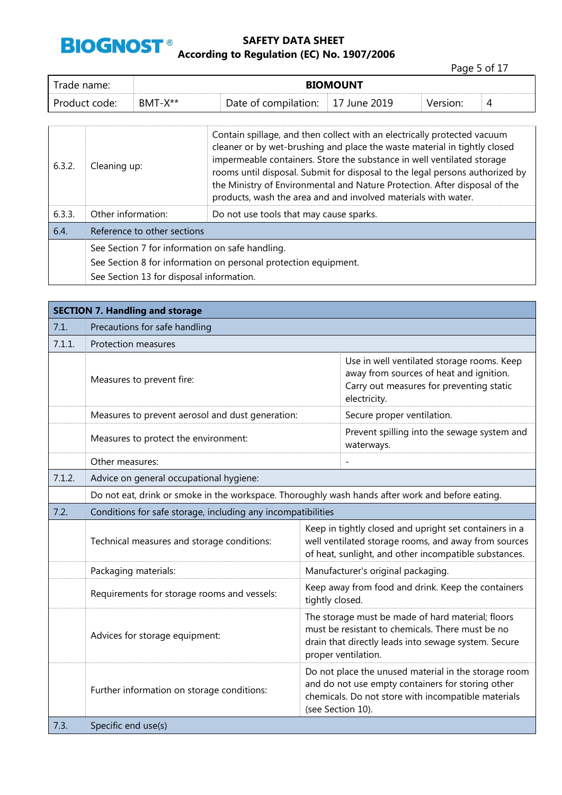

Page 5 of 17

| Trade name:   | <b>BIOMOUNT</b> |                      |              |          |   |
|---------------|-----------------|----------------------|--------------|----------|---|
| Product code: | $BMT-X^{**}$    | Date of compilation: | 17 June 2019 | Version: | 4 |

| 6.3.2. | Cleaning up:                                                    | Contain spillage, and then collect with an electrically protected vacuum<br>cleaner or by wet-brushing and place the waste material in tightly closed<br>impermeable containers. Store the substance in well ventilated storage<br>rooms until disposal. Submit for disposal to the legal persons authorized by<br>the Ministry of Environmental and Nature Protection. After disposal of the<br>products, wash the area and and involved materials with water. |  |  |  |
|--------|-----------------------------------------------------------------|-----------------------------------------------------------------------------------------------------------------------------------------------------------------------------------------------------------------------------------------------------------------------------------------------------------------------------------------------------------------------------------------------------------------------------------------------------------------|--|--|--|
| 6.3.3. | Other information:                                              | Do not use tools that may cause sparks.                                                                                                                                                                                                                                                                                                                                                                                                                         |  |  |  |
| 6.4.   | Reference to other sections                                     |                                                                                                                                                                                                                                                                                                                                                                                                                                                                 |  |  |  |
|        | See Section 7 for information on safe handling.                 |                                                                                                                                                                                                                                                                                                                                                                                                                                                                 |  |  |  |
|        | See Section 8 for information on personal protection equipment. |                                                                                                                                                                                                                                                                                                                                                                                                                                                                 |  |  |  |
|        | See Section 13 for disposal information.                        |                                                                                                                                                                                                                                                                                                                                                                                                                                                                 |  |  |  |

|        | <b>SECTION 7. Handling and storage</b>                                                           |                 |                                                                                                                                                                                       |  |  |  |
|--------|--------------------------------------------------------------------------------------------------|-----------------|---------------------------------------------------------------------------------------------------------------------------------------------------------------------------------------|--|--|--|
| 7.1.   | Precautions for safe handling                                                                    |                 |                                                                                                                                                                                       |  |  |  |
| 7.1.1. | Protection measures                                                                              |                 |                                                                                                                                                                                       |  |  |  |
|        | Measures to prevent fire:                                                                        |                 | Use in well ventilated storage rooms. Keep<br>away from sources of heat and ignition.<br>Carry out measures for preventing static<br>electricity.                                     |  |  |  |
|        | Measures to prevent aerosol and dust generation:                                                 |                 | Secure proper ventilation.                                                                                                                                                            |  |  |  |
|        | Measures to protect the environment:                                                             |                 | Prevent spilling into the sewage system and<br>waterways.                                                                                                                             |  |  |  |
|        | Other measures:                                                                                  |                 |                                                                                                                                                                                       |  |  |  |
| 7.1.2. | Advice on general occupational hygiene:                                                          |                 |                                                                                                                                                                                       |  |  |  |
|        | Do not eat, drink or smoke in the workspace. Thoroughly wash hands after work and before eating. |                 |                                                                                                                                                                                       |  |  |  |
| 7.2.   | Conditions for safe storage, including any incompatibilities                                     |                 |                                                                                                                                                                                       |  |  |  |
|        | Technical measures and storage conditions:                                                       |                 | Keep in tightly closed and upright set containers in a<br>well ventilated storage rooms, and away from sources<br>of heat, sunlight, and other incompatible substances.               |  |  |  |
|        | Packaging materials:                                                                             |                 | Manufacturer's original packaging.                                                                                                                                                    |  |  |  |
|        | Requirements for storage rooms and vessels:                                                      | tightly closed. | Keep away from food and drink. Keep the containers                                                                                                                                    |  |  |  |
|        | Advices for storage equipment:<br>proper ventilation.                                            |                 | The storage must be made of hard material; floors<br>must be resistant to chemicals. There must be no<br>drain that directly leads into sewage system. Secure                         |  |  |  |
|        | Further information on storage conditions:                                                       |                 | Do not place the unused material in the storage room<br>and do not use empty containers for storing other<br>chemicals. Do not store with incompatible materials<br>(see Section 10). |  |  |  |
| 7.3.   | Specific end use(s)                                                                              |                 |                                                                                                                                                                                       |  |  |  |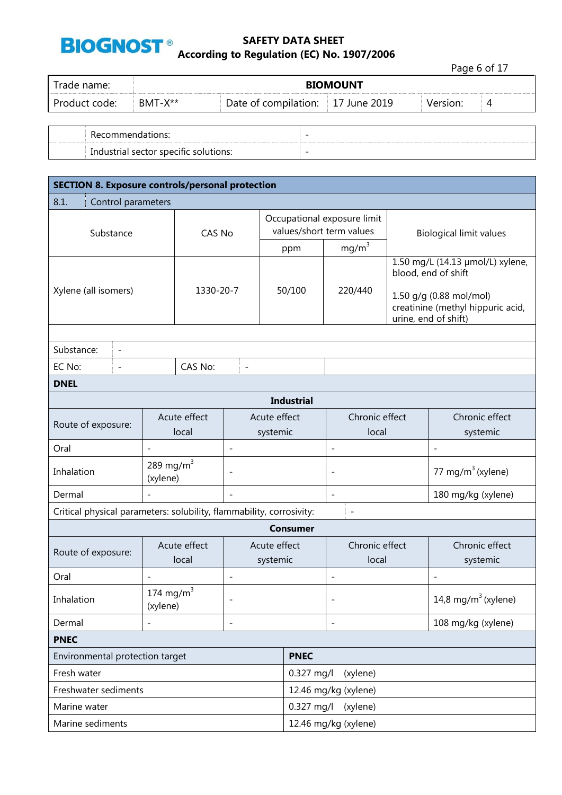

|               |         |                                   |                 |          | Page 6 of 17 |  |
|---------------|---------|-----------------------------------|-----------------|----------|--------------|--|
| Trade name:   |         |                                   | <b>BIOMOUNT</b> |          |              |  |
| Product code: | BMT-X** | Date of compilation: 17 June 2019 |                 | Version: | 4            |  |
|               |         |                                   |                 |          |              |  |

| כו וטו.<br>∼ ⊷                                                                               | $\overline{\phantom{a}}$ |
|----------------------------------------------------------------------------------------------|--------------------------|
| $\ddot{\phantom{0}}$<br>-c∩li<br>tions:<br>specific<br>Inc<br>101111<br><br>. sector<br>Tidl | $\overline{\phantom{0}}$ |

| <b>SECTION 8. Exposure controls/personal protection</b>              |                          |                       |                          |             |                                                         |                         |                          |                                                                                                                                                 |                               |
|----------------------------------------------------------------------|--------------------------|-----------------------|--------------------------|-------------|---------------------------------------------------------|-------------------------|--------------------------|-------------------------------------------------------------------------------------------------------------------------------------------------|-------------------------------|
| 8.1.<br>Control parameters                                           |                          |                       |                          |             |                                                         |                         |                          |                                                                                                                                                 |                               |
| Substance                                                            |                          | CAS No                |                          |             | Occupational exposure limit<br>values/short term values |                         |                          | <b>Biological limit values</b>                                                                                                                  |                               |
|                                                                      |                          |                       |                          |             | ppm                                                     |                         | mg/m <sup>3</sup>        |                                                                                                                                                 |                               |
| Xylene (all isomers)                                                 |                          | 1330-20-7             |                          |             | 50/100                                                  |                         | 220/440                  | 1.50 mg/L (14.13 µmol/L) xylene,<br>blood, end of shift<br>1.50 g/g (0.88 mol/mol)<br>creatinine (methyl hippuric acid,<br>urine, end of shift) |                               |
|                                                                      |                          |                       |                          |             |                                                         |                         |                          |                                                                                                                                                 |                               |
| Substance:<br>$\overline{\phantom{a}}$                               |                          |                       |                          |             |                                                         |                         |                          |                                                                                                                                                 |                               |
| EC No:<br>$\overline{\phantom{a}}$                                   |                          | CAS No:               | $\overline{a}$           |             |                                                         |                         |                          |                                                                                                                                                 |                               |
| <b>DNEL</b>                                                          |                          |                       |                          |             |                                                         |                         |                          |                                                                                                                                                 |                               |
|                                                                      |                          |                       |                          |             | <b>Industrial</b>                                       |                         |                          |                                                                                                                                                 |                               |
| Route of exposure:                                                   |                          | Acute effect<br>local | Acute effect<br>systemic |             |                                                         | Chronic effect<br>local |                          |                                                                                                                                                 | Chronic effect<br>systemic    |
| Oral                                                                 | $\overline{\phantom{0}}$ |                       | $\overline{\phantom{a}}$ |             |                                                         | $\overline{a}$          |                          |                                                                                                                                                 | $\overline{\phantom{a}}$      |
| Inhalation                                                           | 289 mg/m $3$<br>(xylene) |                       |                          |             |                                                         | $\overline{a}$          |                          |                                                                                                                                                 | 77 mg/m <sup>3</sup> (xylene) |
| Dermal                                                               |                          |                       | $\overline{\phantom{a}}$ |             |                                                         | $\overline{a}$          |                          |                                                                                                                                                 | 180 mg/kg (xylene)            |
| Critical physical parameters: solubility, flammability, corrosivity: |                          |                       |                          |             |                                                         |                         | $\overline{\phantom{a}}$ |                                                                                                                                                 |                               |
|                                                                      |                          |                       |                          |             | <b>Consumer</b>                                         |                         |                          |                                                                                                                                                 |                               |
| Route of exposure:                                                   |                          | Acute effect<br>local | Acute effect<br>systemic |             | Chronic effect<br>local                                 |                         |                          | Chronic effect<br>systemic                                                                                                                      |                               |
| Oral                                                                 |                          |                       | $\overline{\phantom{a}}$ |             |                                                         | ÷,                      |                          |                                                                                                                                                 | $\overline{\phantom{a}}$      |
| Inhalation                                                           | 174 mg/m $3$<br>(xylene) |                       |                          |             |                                                         |                         |                          | 14,8 mg/m $3$ (xylene)                                                                                                                          |                               |
| Dermal<br>$\overline{\phantom{a}}$                                   |                          |                       |                          |             |                                                         |                         | 108 mg/kg (xylene)       |                                                                                                                                                 |                               |
| <b>PNEC</b>                                                          |                          |                       |                          |             |                                                         |                         |                          |                                                                                                                                                 |                               |
| Environmental protection target                                      |                          |                       |                          | <b>PNEC</b> |                                                         |                         |                          |                                                                                                                                                 |                               |
| Fresh water                                                          |                          |                       |                          | 0.327 mg/l  |                                                         | (xylene)                |                          |                                                                                                                                                 |                               |
| Freshwater sediments                                                 |                          |                       |                          |             | 12.46 mg/kg (xylene)                                    |                         |                          |                                                                                                                                                 |                               |
| Marine water                                                         |                          |                       |                          |             | 0.327 mg/l                                              |                         | (xylene)                 |                                                                                                                                                 |                               |
| Marine sediments                                                     |                          |                       |                          |             | 12.46 mg/kg (xylene)                                    |                         |                          |                                                                                                                                                 |                               |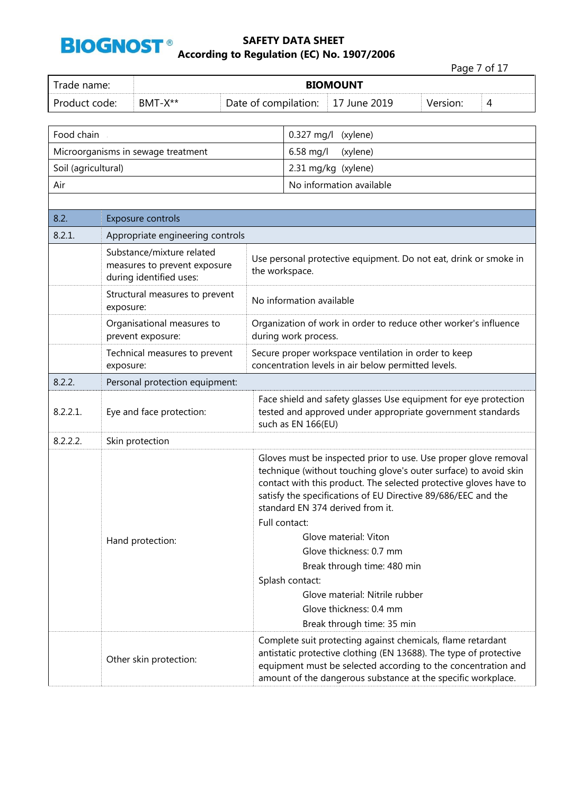

|                          |                  |                                                                                      |                      |                                                                                                                                                                                                                                                                                                               |                                                                                                                               |          | Page 7 of 17 |  |  |  |
|--------------------------|------------------|--------------------------------------------------------------------------------------|----------------------|---------------------------------------------------------------------------------------------------------------------------------------------------------------------------------------------------------------------------------------------------------------------------------------------------------------|-------------------------------------------------------------------------------------------------------------------------------|----------|--------------|--|--|--|
| Trade name:              |                  | <b>BIOMOUNT</b>                                                                      |                      |                                                                                                                                                                                                                                                                                                               |                                                                                                                               |          |              |  |  |  |
| Product code:<br>BMT-X** |                  |                                                                                      | Date of compilation: |                                                                                                                                                                                                                                                                                                               | 17 June 2019                                                                                                                  | Version: | 4            |  |  |  |
| Food chain               |                  |                                                                                      |                      | 0.327 mg/l                                                                                                                                                                                                                                                                                                    | (xylene)                                                                                                                      |          |              |  |  |  |
|                          |                  | Microorganisms in sewage treatment                                                   |                      | 6.58 mg/l                                                                                                                                                                                                                                                                                                     | (xylene)                                                                                                                      |          |              |  |  |  |
| Soil (agricultural)      |                  |                                                                                      |                      |                                                                                                                                                                                                                                                                                                               | 2.31 mg/kg (xylene)                                                                                                           |          |              |  |  |  |
| Air                      |                  |                                                                                      |                      |                                                                                                                                                                                                                                                                                                               | No information available                                                                                                      |          |              |  |  |  |
|                          |                  |                                                                                      |                      |                                                                                                                                                                                                                                                                                                               |                                                                                                                               |          |              |  |  |  |
| 8.2.                     |                  | Exposure controls                                                                    |                      |                                                                                                                                                                                                                                                                                                               |                                                                                                                               |          |              |  |  |  |
| 8.2.1.                   |                  | Appropriate engineering controls                                                     |                      |                                                                                                                                                                                                                                                                                                               |                                                                                                                               |          |              |  |  |  |
|                          |                  | Substance/mixture related<br>measures to prevent exposure<br>during identified uses: |                      | the workspace.                                                                                                                                                                                                                                                                                                | Use personal protective equipment. Do not eat, drink or smoke in                                                              |          |              |  |  |  |
|                          | exposure:        | Structural measures to prevent                                                       |                      | No information available                                                                                                                                                                                                                                                                                      |                                                                                                                               |          |              |  |  |  |
|                          |                  | Organisational measures to<br>prevent exposure:                                      |                      | Organization of work in order to reduce other worker's influence<br>during work process.                                                                                                                                                                                                                      |                                                                                                                               |          |              |  |  |  |
|                          | exposure:        | Technical measures to prevent                                                        |                      | Secure proper workspace ventilation in order to keep<br>concentration levels in air below permitted levels.                                                                                                                                                                                                   |                                                                                                                               |          |              |  |  |  |
| 8.2.2.                   |                  | Personal protection equipment:                                                       |                      |                                                                                                                                                                                                                                                                                                               |                                                                                                                               |          |              |  |  |  |
| $8.2.2.1$ .              |                  | Eye and face protection:                                                             |                      | such as EN 166(EU)                                                                                                                                                                                                                                                                                            | Face shield and safety glasses Use equipment for eye protection<br>tested and approved under appropriate government standards |          |              |  |  |  |
| 8.2.2.2.                 |                  | Skin protection                                                                      |                      |                                                                                                                                                                                                                                                                                                               |                                                                                                                               |          |              |  |  |  |
|                          |                  |                                                                                      |                      | Gloves must be inspected prior to use. Use proper glove removal<br>technique (without touching glove's outer surface) to avoid skin<br>contact with this product. The selected protective gloves have to<br>satisfy the specifications of EU Directive 89/686/EEC and the<br>standard EN 374 derived from it. |                                                                                                                               |          |              |  |  |  |
|                          | Hand protection: |                                                                                      |                      | Full contact:<br>Glove material: Viton<br>Glove thickness: 0.7 mm<br>Break through time: 480 min                                                                                                                                                                                                              |                                                                                                                               |          |              |  |  |  |
|                          |                  |                                                                                      |                      | Splash contact:<br>Glove material: Nitrile rubber                                                                                                                                                                                                                                                             |                                                                                                                               |          |              |  |  |  |
|                          |                  |                                                                                      |                      |                                                                                                                                                                                                                                                                                                               | Glove thickness: 0.4 mm<br>Break through time: 35 min                                                                         |          |              |  |  |  |
|                          |                  | Other skin protection:                                                               |                      | Complete suit protecting against chemicals, flame retardant<br>antistatic protective clothing (EN 13688). The type of protective<br>equipment must be selected according to the concentration and<br>amount of the dangerous substance at the specific workplace.                                             |                                                                                                                               |          |              |  |  |  |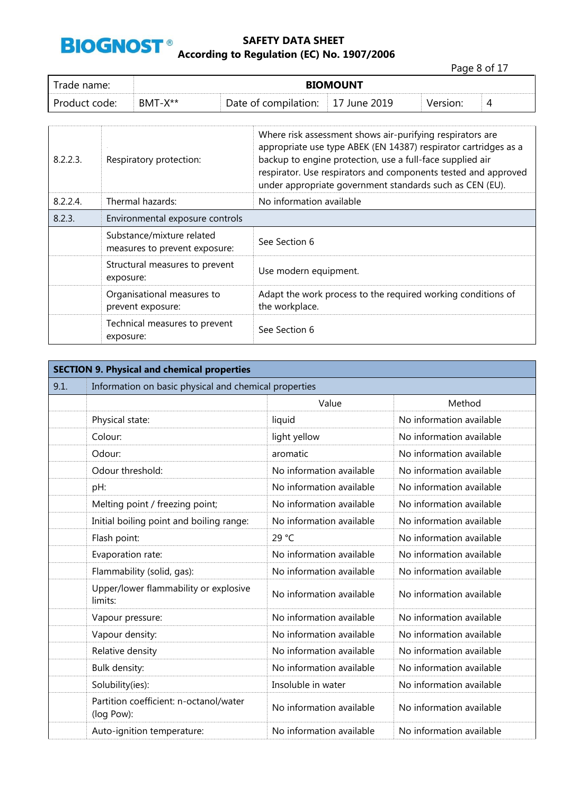

Page 8 of 17

| Trade name:      |              | <b>BIOMOUNT</b>      |                     |          |  |  |  |  |
|------------------|--------------|----------------------|---------------------|----------|--|--|--|--|
| Product<br>code: | $BMT-X^{**}$ | Date of compilation: | 2019<br>lune<br>- 1 | Version: |  |  |  |  |

| 8.2.2.3. | Respiratory protection:                                    | Where risk assessment shows air-purifying respirators are<br>appropriate use type ABEK (EN 14387) respirator cartridges as a<br>backup to engine protection, use a full-face supplied air<br>respirator. Use respirators and components tested and approved<br>under appropriate government standards such as CEN (EU). |
|----------|------------------------------------------------------------|-------------------------------------------------------------------------------------------------------------------------------------------------------------------------------------------------------------------------------------------------------------------------------------------------------------------------|
| 8.2.2.4  | Thermal hazards:                                           | No information available                                                                                                                                                                                                                                                                                                |
| 8.2.3.   | Environmental exposure controls                            |                                                                                                                                                                                                                                                                                                                         |
|          | Substance/mixture related<br>measures to prevent exposure: | See Section 6                                                                                                                                                                                                                                                                                                           |
|          | Structural measures to prevent<br>exposure:                | Use modern equipment.                                                                                                                                                                                                                                                                                                   |
|          | Organisational measures to<br>prevent exposure:            | Adapt the work process to the required working conditions of<br>the workplace.                                                                                                                                                                                                                                          |
|          | Technical measures to prevent<br>exposure:                 | See Section 6                                                                                                                                                                                                                                                                                                           |

| <b>SECTION 9. Physical and chemical properties</b> |                                                       |                          |                          |  |  |  |  |  |
|----------------------------------------------------|-------------------------------------------------------|--------------------------|--------------------------|--|--|--|--|--|
| 9.1.                                               | Information on basic physical and chemical properties |                          |                          |  |  |  |  |  |
|                                                    |                                                       | Value                    | Method                   |  |  |  |  |  |
|                                                    | Physical state:                                       | liquid                   | No information available |  |  |  |  |  |
|                                                    | Colour:                                               | light yellow             | No information available |  |  |  |  |  |
|                                                    | Odour:                                                | aromatic                 | No information available |  |  |  |  |  |
|                                                    | Odour threshold:                                      | No information available | No information available |  |  |  |  |  |
|                                                    | pH:                                                   | No information available | No information available |  |  |  |  |  |
|                                                    | Melting point / freezing point;                       | No information available | No information available |  |  |  |  |  |
|                                                    | Initial boiling point and boiling range:              | No information available | No information available |  |  |  |  |  |
|                                                    | Flash point:                                          | 29 °C                    | No information available |  |  |  |  |  |
|                                                    | Evaporation rate:                                     | No information available | No information available |  |  |  |  |  |
|                                                    | Flammability (solid, gas):                            | No information available | No information available |  |  |  |  |  |
|                                                    | Upper/lower flammability or explosive<br>limits:      | No information available | No information available |  |  |  |  |  |
|                                                    | Vapour pressure:                                      | No information available | No information available |  |  |  |  |  |
|                                                    | Vapour density:                                       | No information available | No information available |  |  |  |  |  |
|                                                    | Relative density                                      | No information available | No information available |  |  |  |  |  |
|                                                    | Bulk density:                                         | No information available | No information available |  |  |  |  |  |
|                                                    | Solubility(ies):                                      | Insoluble in water       | No information available |  |  |  |  |  |
|                                                    | Partition coefficient: n-octanol/water<br>(log Pow):  | No information available | No information available |  |  |  |  |  |
|                                                    | Auto-ignition temperature:                            | No information available | No information available |  |  |  |  |  |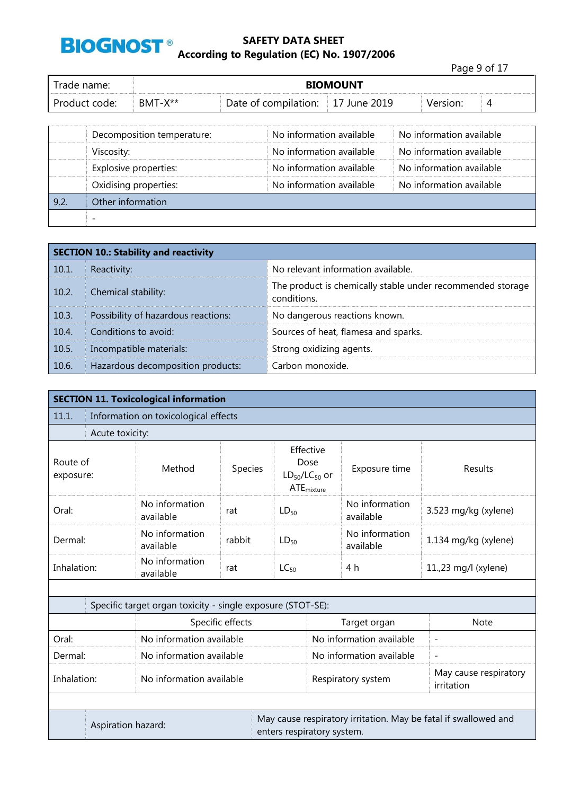

|               |         |                                   |                 | Page 9 of 17 |   |
|---------------|---------|-----------------------------------|-----------------|--------------|---|
| Trade name:   |         |                                   | <b>BIOMOUNT</b> |              |   |
| Product code: | BMT-X** | Date of compilation: 17 June 2019 |                 | Version:     | 4 |

|      | Decomposition temperature: | No information available | No information available |
|------|----------------------------|--------------------------|--------------------------|
|      | Viscosity:                 | No information available | No information available |
|      | Explosive properties:      | No information available | No information available |
|      | Oxidising properties:      | No information available | No information available |
| 9.2. | Other information          |                          |                          |
|      |                            |                          |                          |

| <b>SECTION 10.: Stability and reactivity</b> |                                     |                                                                           |  |  |  |
|----------------------------------------------|-------------------------------------|---------------------------------------------------------------------------|--|--|--|
| 10.1.                                        | Reactivity:                         | No relevant information available.                                        |  |  |  |
| $\vert$ 10.2.                                | Chemical stability:                 | The product is chemically stable under recommended storage<br>conditions. |  |  |  |
| 10.3.                                        | Possibility of hazardous reactions: | No dangerous reactions known.                                             |  |  |  |
| 10.4.                                        | Conditions to avoid:                | Sources of heat, flamesa and sparks.                                      |  |  |  |
| 10.5.                                        | Incompatible materials:             | Strong oxidizing agents.                                                  |  |  |  |
| $\vert$ 10.6.                                | Hazardous decomposition products:   | Carbon monoxide.                                                          |  |  |  |

| <b>SECTION 11. Toxicological information</b>                                                                        |                                                    |                                                             |                  |                             |                                                                               |                                     |                          |  |  |
|---------------------------------------------------------------------------------------------------------------------|----------------------------------------------------|-------------------------------------------------------------|------------------|-----------------------------|-------------------------------------------------------------------------------|-------------------------------------|--------------------------|--|--|
| 11.1.                                                                                                               | Information on toxicological effects               |                                                             |                  |                             |                                                                               |                                     |                          |  |  |
|                                                                                                                     | Acute toxicity:                                    |                                                             |                  |                             |                                                                               |                                     |                          |  |  |
| Route of<br>exposure:                                                                                               |                                                    | Method                                                      | Species          |                             | Effective<br>Dose<br>Exposure time<br>$LD_{50}/LC_{50}$ or<br>$ATE_{mixture}$ |                                     | Results                  |  |  |
| Oral:                                                                                                               |                                                    | No information<br>available                                 | rat              | $LD_{50}$                   |                                                                               | No information<br>available         | 3.523 mg/kg (xylene)     |  |  |
| Dermal:                                                                                                             | No information<br>rabbit<br>$LD_{50}$<br>available |                                                             |                  | No information<br>available | 1.134 mg/kg (xylene)                                                          |                                     |                          |  |  |
| Inhalation:                                                                                                         |                                                    | No information<br>available                                 | rat              | $LC_{50}$                   |                                                                               | 4 h                                 | 11.,23 mg/l (xylene)     |  |  |
|                                                                                                                     |                                                    |                                                             |                  |                             |                                                                               |                                     |                          |  |  |
|                                                                                                                     |                                                    | Specific target organ toxicity - single exposure (STOT-SE): |                  |                             |                                                                               |                                     |                          |  |  |
|                                                                                                                     |                                                    |                                                             | Specific effects |                             | Target organ                                                                  |                                     | Note                     |  |  |
| Oral:                                                                                                               |                                                    | No information available                                    |                  |                             |                                                                               | No information available            | $\overline{\phantom{a}}$ |  |  |
| Dermal:                                                                                                             |                                                    | No information available                                    |                  |                             |                                                                               | No information available            | $\overline{\phantom{a}}$ |  |  |
| No information available<br>Inhalation:                                                                             |                                                    |                                                             |                  |                             | Respiratory system                                                            | May cause respiratory<br>irritation |                          |  |  |
|                                                                                                                     |                                                    |                                                             |                  |                             |                                                                               |                                     |                          |  |  |
| May cause respiratory irritation. May be fatal if swallowed and<br>Aspiration hazard:<br>enters respiratory system. |                                                    |                                                             |                  |                             |                                                                               |                                     |                          |  |  |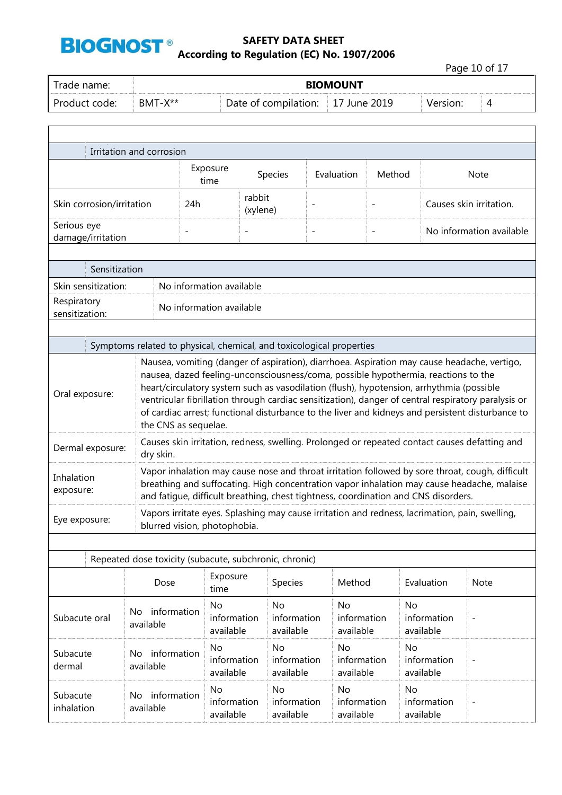

 $\Gamma$ 

#### **SAFETY DATA SHEET According to Regulation (EC) No. 1907/2006**

Page 10 of 17 Trade name: **BIOMOUNT**  Product code: BMT-X\*\* Date of compilation: 17 June 2019 Version: 4

٦

| Irritation and corrosion                                                                                                                                                                                                                      |                                                                      |                                                                                                                                                                                                                                                                                                                                                                                                                                                                                                                  |                          |                          |                                       |                          |                                                                                                |                                                                                                                                                                                               |  |  |
|-----------------------------------------------------------------------------------------------------------------------------------------------------------------------------------------------------------------------------------------------|----------------------------------------------------------------------|------------------------------------------------------------------------------------------------------------------------------------------------------------------------------------------------------------------------------------------------------------------------------------------------------------------------------------------------------------------------------------------------------------------------------------------------------------------------------------------------------------------|--------------------------|--------------------------|---------------------------------------|--------------------------|------------------------------------------------------------------------------------------------|-----------------------------------------------------------------------------------------------------------------------------------------------------------------------------------------------|--|--|
|                                                                                                                                                                                                                                               |                                                                      | Exposure<br>time                                                                                                                                                                                                                                                                                                                                                                                                                                                                                                 | Species                  |                          | Evaluation                            | Method                   |                                                                                                | <b>Note</b>                                                                                                                                                                                   |  |  |
| Skin corrosion/irritation                                                                                                                                                                                                                     |                                                                      | 24h                                                                                                                                                                                                                                                                                                                                                                                                                                                                                                              | rabbit<br>(xylene)       |                          |                                       |                          |                                                                                                | Causes skin irritation.                                                                                                                                                                       |  |  |
| Serious eye<br>damage/irritation                                                                                                                                                                                                              |                                                                      | $\overline{\phantom{a}}$                                                                                                                                                                                                                                                                                                                                                                                                                                                                                         | $\overline{\phantom{a}}$ | $\overline{a}$           |                                       | $\overline{\phantom{a}}$ |                                                                                                | No information available                                                                                                                                                                      |  |  |
|                                                                                                                                                                                                                                               |                                                                      |                                                                                                                                                                                                                                                                                                                                                                                                                                                                                                                  |                          |                          |                                       |                          |                                                                                                |                                                                                                                                                                                               |  |  |
| Sensitization                                                                                                                                                                                                                                 |                                                                      |                                                                                                                                                                                                                                                                                                                                                                                                                                                                                                                  |                          |                          |                                       |                          |                                                                                                |                                                                                                                                                                                               |  |  |
| Skin sensitization:                                                                                                                                                                                                                           |                                                                      | No information available                                                                                                                                                                                                                                                                                                                                                                                                                                                                                         |                          |                          |                                       |                          |                                                                                                |                                                                                                                                                                                               |  |  |
| Respiratory<br>sensitization:                                                                                                                                                                                                                 |                                                                      | No information available                                                                                                                                                                                                                                                                                                                                                                                                                                                                                         |                          |                          |                                       |                          |                                                                                                |                                                                                                                                                                                               |  |  |
|                                                                                                                                                                                                                                               |                                                                      |                                                                                                                                                                                                                                                                                                                                                                                                                                                                                                                  |                          |                          |                                       |                          |                                                                                                |                                                                                                                                                                                               |  |  |
|                                                                                                                                                                                                                                               | Symptoms related to physical, chemical, and toxicological properties |                                                                                                                                                                                                                                                                                                                                                                                                                                                                                                                  |                          |                          |                                       |                          |                                                                                                |                                                                                                                                                                                               |  |  |
| Oral exposure:                                                                                                                                                                                                                                |                                                                      | Nausea, vomiting (danger of aspiration), diarrhoea. Aspiration may cause headache, vertigo,<br>nausea, dazed feeling-unconsciousness/coma, possible hypothermia, reactions to the<br>heart/circulatory system such as vasodilation (flush), hypotension, arrhythmia (possible<br>ventricular fibrillation through cardiac sensitization), danger of central respiratory paralysis or<br>of cardiac arrest; functional disturbance to the liver and kidneys and persistent disturbance to<br>the CNS as sequelae. |                          |                          |                                       |                          |                                                                                                |                                                                                                                                                                                               |  |  |
| Dermal exposure:                                                                                                                                                                                                                              | dry skin.                                                            |                                                                                                                                                                                                                                                                                                                                                                                                                                                                                                                  |                          |                          |                                       |                          |                                                                                                | Causes skin irritation, redness, swelling. Prolonged or repeated contact causes defatting and                                                                                                 |  |  |
| Inhalation<br>exposure:                                                                                                                                                                                                                       |                                                                      |                                                                                                                                                                                                                                                                                                                                                                                                                                                                                                                  |                          |                          |                                       |                          | and fatique, difficult breathing, chest tightness, coordination and CNS disorders.             | Vapor inhalation may cause nose and throat irritation followed by sore throat, cough, difficult<br>breathing and suffocating. High concentration vapor inhalation may cause headache, malaise |  |  |
| Eye exposure:                                                                                                                                                                                                                                 |                                                                      | blurred vision, photophobia.                                                                                                                                                                                                                                                                                                                                                                                                                                                                                     |                          |                          |                                       |                          | Vapors irritate eyes. Splashing may cause irritation and redness, lacrimation, pain, swelling, |                                                                                                                                                                                               |  |  |
|                                                                                                                                                                                                                                               |                                                                      |                                                                                                                                                                                                                                                                                                                                                                                                                                                                                                                  |                          |                          |                                       |                          |                                                                                                |                                                                                                                                                                                               |  |  |
|                                                                                                                                                                                                                                               | Repeated dose toxicity (subacute, subchronic, chronic)               |                                                                                                                                                                                                                                                                                                                                                                                                                                                                                                                  |                          |                          |                                       |                          |                                                                                                |                                                                                                                                                                                               |  |  |
|                                                                                                                                                                                                                                               | Dose                                                                 | Exposure<br>time                                                                                                                                                                                                                                                                                                                                                                                                                                                                                                 |                          | Species                  | Method                                |                          | Evaluation                                                                                     | Note                                                                                                                                                                                          |  |  |
| No information<br>Subacute oral<br>available                                                                                                                                                                                                  |                                                                      | No<br>information<br>available                                                                                                                                                                                                                                                                                                                                                                                                                                                                                   | <b>No</b>                | information<br>available | <b>No</b><br>information<br>available |                          | No<br>information<br>available                                                                 |                                                                                                                                                                                               |  |  |
| No information<br>Subacute<br>dermal<br>available                                                                                                                                                                                             |                                                                      | No<br>information<br>available                                                                                                                                                                                                                                                                                                                                                                                                                                                                                   | No                       | information              | No<br>information<br>available        |                          | No<br>information<br>available                                                                 |                                                                                                                                                                                               |  |  |
| available<br><b>No</b><br><b>No</b><br>No<br>No<br>No information<br>Subacute<br>information<br>information<br>information<br>information<br>$\qquad \qquad -$<br>inhalation<br>available<br>available<br>available<br>available<br>available |                                                                      |                                                                                                                                                                                                                                                                                                                                                                                                                                                                                                                  |                          |                          |                                       |                          |                                                                                                |                                                                                                                                                                                               |  |  |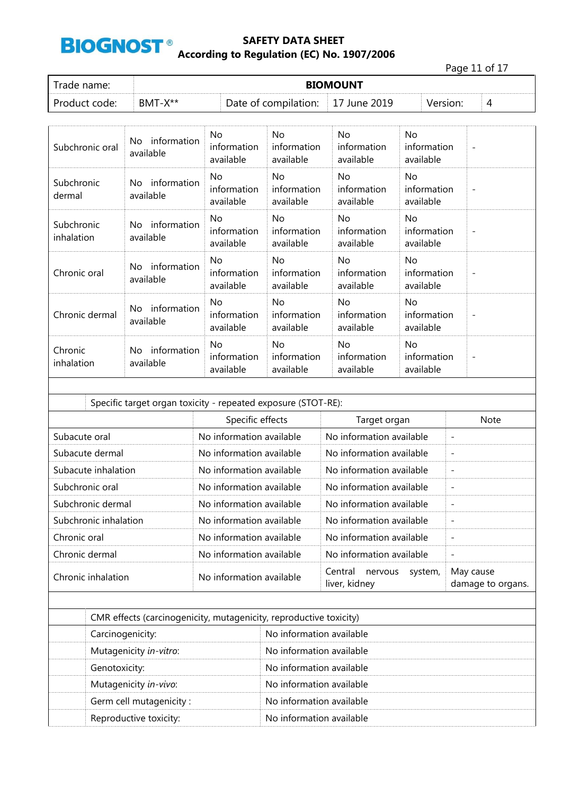

Page 11 of 17

| Trade name:   | <b>BIOMOUNT</b> |                      |           |          |   |  |  |
|---------------|-----------------|----------------------|-----------|----------|---|--|--|
| Product code: | $RMT-X**$       | Date of compilation: | June 2019 | Version: | ↵ |  |  |

| Subchronic oral          | information<br>No.<br>available | No<br>information<br>available  | No.<br>information<br>available | No<br>information<br>available  | No<br>information<br>available  | $\overline{\phantom{a}}$ |
|--------------------------|---------------------------------|---------------------------------|---------------------------------|---------------------------------|---------------------------------|--------------------------|
| Subchronic<br>dermal     | information<br>No.<br>available | No.<br>information<br>available | No.<br>information<br>available | No.<br>information<br>available | No.<br>information<br>available | $\overline{\phantom{a}}$ |
| Subchronic<br>inhalation | information<br>No.<br>available | No.<br>information<br>available | No.<br>information<br>available | No.<br>information<br>available | No<br>information<br>available  | $\overline{\phantom{a}}$ |
| Chronic oral             | information<br>No.<br>available | No.<br>information<br>available | No.<br>information<br>available | No<br>information<br>available  | No<br>information<br>available  | $\overline{\phantom{a}}$ |
| Chronic dermal           | information<br>No.<br>available | No<br>information<br>available  | No.<br>information<br>available | No<br>information<br>available  | No<br>information<br>available  | $\overline{\phantom{a}}$ |
| Chronic<br>inhalation    | information<br>No.<br>available | No.<br>information<br>available | No.<br>information<br>available | No<br>information<br>available  | No<br>information<br>available  | $\overline{\phantom{a}}$ |

| Specific target organ toxicity - repeated exposure (STOT-RE): |                          |                                                |                                |  |  |  |  |
|---------------------------------------------------------------|--------------------------|------------------------------------------------|--------------------------------|--|--|--|--|
|                                                               | Specific effects         | Target organ                                   | <b>Note</b>                    |  |  |  |  |
| Subacute oral                                                 | No information available | No information available                       | $\overline{\phantom{a}}$       |  |  |  |  |
| Subacute dermal                                               | No information available | No information available                       | $\overline{\phantom{a}}$       |  |  |  |  |
| Subacute inhalation                                           | No information available | No information available                       | $\overline{\phantom{a}}$       |  |  |  |  |
| Subchronic oral                                               | No information available | No information available                       | $\overline{\phantom{a}}$       |  |  |  |  |
| Subchronic dermal                                             | No information available | No information available                       | $\overline{\phantom{a}}$       |  |  |  |  |
| Subchronic inhalation                                         | No information available | No information available                       | $\overline{\phantom{a}}$       |  |  |  |  |
| Chronic oral                                                  | No information available | No information available                       | $\overline{\phantom{a}}$       |  |  |  |  |
| Chronic dermal                                                | No information available | No information available                       | $\overline{\phantom{a}}$       |  |  |  |  |
| Chronic inhalation                                            | No information available | Central<br>nervous<br>system,<br>liver, kidney | May cause<br>damage to organs. |  |  |  |  |
|                                                               |                          |                                                |                                |  |  |  |  |

| CMR effects (carcinogenicity, mutagenicity, reproductive toxicity) |                          |  |  |  |
|--------------------------------------------------------------------|--------------------------|--|--|--|
| No information available<br>Carcinogenicity:                       |                          |  |  |  |
| Mutagenicity in-vitro:                                             | No information available |  |  |  |
| Genotoxicity:                                                      | No information available |  |  |  |
| Mutagenicity in-vivo:                                              | No information available |  |  |  |
| Germ cell mutagenicity:                                            | No information available |  |  |  |
| Reproductive toxicity:                                             | No information available |  |  |  |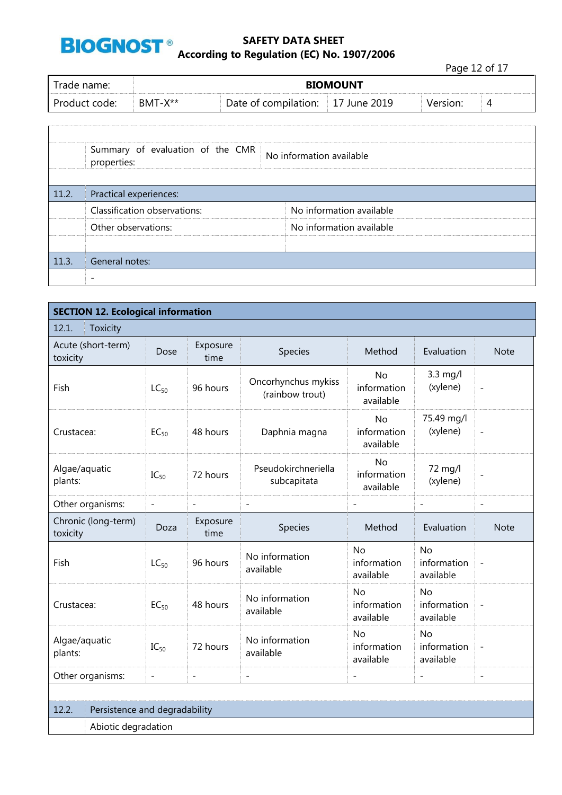

Page 12 of 17

| Trade name: I | <b>BIOMOUNT</b> |                      |           |          |   |  |  |
|---------------|-----------------|----------------------|-----------|----------|---|--|--|
| Product code: | $BMT-X^{**}$    | Date of compilation: | June 2019 | Version: | ൧ |  |  |

|       | Summary of evaluation of the CMR<br>properties: | No information available |
|-------|-------------------------------------------------|--------------------------|
| 11.2. | Practical experiences:                          |                          |
|       | Classification observations:                    | No information available |
|       | Other observations:                             | No information available |
|       |                                                 |                          |
| 11.3. | General notes:                                  |                          |
|       |                                                 |                          |

| <b>SECTION 12. Ecological information</b> |                                        |                          |                                        |                                       |                                       |                          |  |  |  |  |
|-------------------------------------------|----------------------------------------|--------------------------|----------------------------------------|---------------------------------------|---------------------------------------|--------------------------|--|--|--|--|
| 12.1.<br>Toxicity                         |                                        |                          |                                        |                                       |                                       |                          |  |  |  |  |
| Acute (short-term)<br>toxicity            | Exposure<br>Dose<br>time               |                          | Species                                | Method                                | Evaluation                            | <b>Note</b>              |  |  |  |  |
| Fish                                      | $LC_{50}$                              | 96 hours                 | Oncorhynchus mykiss<br>(rainbow trout) | <b>No</b><br>information<br>available | 3.3 mg/l<br>(xylene)                  | $\overline{a}$           |  |  |  |  |
| Crustacea:                                | 48 hours<br>Daphnia magna<br>$EC_{50}$ |                          | <b>No</b><br>information<br>available  | 75.49 mg/l<br>(xylene)                | $\overline{a}$                        |                          |  |  |  |  |
| Algae/aquatic<br>$IC_{50}$<br>plants:     |                                        | 72 hours                 | Pseudokirchneriella<br>subcapitata     | <b>No</b><br>information<br>available | 72 mg/l<br>(xylene)                   | $\overline{a}$           |  |  |  |  |
| Other organisms:                          | $\overline{\phantom{a}}$               | $\overline{\phantom{0}}$ | $\overline{a}$                         | $\overline{a}$                        | $\overline{a}$                        | $\overline{a}$           |  |  |  |  |
| Chronic (long-term)<br>toxicity           | Doza                                   | Exposure<br>time         | Species                                | Method                                | Evaluation                            | <b>Note</b>              |  |  |  |  |
| Fish                                      | $LC_{50}$                              | 96 hours                 | No information<br>available            | No<br>information<br>available        | <b>No</b><br>information<br>available | $\overline{\phantom{0}}$ |  |  |  |  |
| Crustacea:                                | $EC_{50}$                              | 48 hours                 | No information<br>available            | <b>No</b><br>information<br>available | <b>No</b><br>information<br>available | $\overline{a}$           |  |  |  |  |
| Algae/aquatic<br>plants:                  | $IC_{50}$                              | 72 hours                 | No information<br>available            | <b>No</b><br>information<br>available | <b>No</b><br>information<br>available | $\overline{a}$           |  |  |  |  |
| Other organisms:                          | $\overline{\phantom{m}}$               | $\overline{a}$           | $\overline{a}$                         | $\overline{a}$                        | $\overline{a}$                        | $\overline{\phantom{0}}$ |  |  |  |  |
|                                           |                                        |                          |                                        |                                       |                                       |                          |  |  |  |  |
| 12.2.<br>Persistence and degradability    |                                        |                          |                                        |                                       |                                       |                          |  |  |  |  |
|                                           | Abiotic degradation                    |                          |                                        |                                       |                                       |                          |  |  |  |  |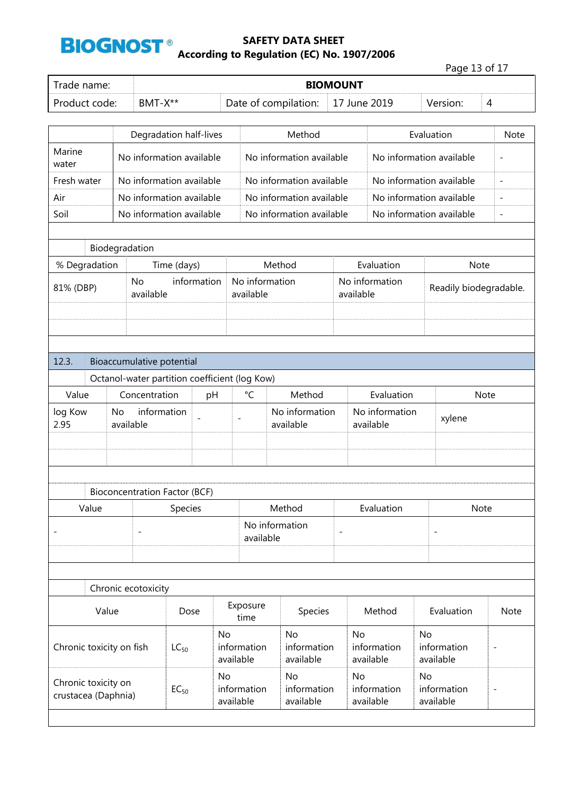

|                                                         |           |                           |                                      |                          |                                               |                          |                          |                 |                          |                | Page 13 of 17            |                          |                          |
|---------------------------------------------------------|-----------|---------------------------|--------------------------------------|--------------------------|-----------------------------------------------|--------------------------|--------------------------|-----------------|--------------------------|----------------|--------------------------|--------------------------|--------------------------|
| Trade name:                                             |           |                           |                                      |                          |                                               |                          |                          | <b>BIOMOUNT</b> |                          |                |                          |                          |                          |
| Product code:                                           |           | BMT-X**                   |                                      |                          | Date of compilation:<br>17 June 2019          |                          |                          |                 |                          | Version:       | 4                        |                          |                          |
|                                                         |           |                           |                                      |                          |                                               |                          |                          |                 |                          |                |                          |                          |                          |
|                                                         |           |                           | Degradation half-lives               |                          |                                               | Method                   |                          |                 |                          | Evaluation     |                          |                          | Note                     |
| Marine<br>water                                         |           |                           | No information available             |                          |                                               | No information available |                          |                 |                          |                | No information available |                          | $\overline{\phantom{a}}$ |
| Fresh water                                             |           |                           | No information available             |                          |                                               | No information available |                          |                 |                          |                | No information available |                          | $\overline{a}$           |
| Air                                                     |           |                           | No information available             |                          |                                               | No information available |                          |                 |                          |                | No information available |                          | L,                       |
| Soil                                                    |           |                           | No information available             |                          |                                               | No information available |                          |                 |                          |                | No information available |                          | $\qquad \qquad -$        |
|                                                         |           |                           |                                      |                          |                                               |                          |                          |                 |                          |                |                          |                          |                          |
|                                                         |           | Biodegradation            |                                      |                          |                                               |                          |                          |                 |                          |                |                          |                          |                          |
| % Degradation                                           |           |                           | Time (days)                          |                          |                                               | Method                   |                          |                 | Evaluation               |                |                          | Note                     |                          |
| 81% (DBP)                                               |           | No<br>available           | information                          |                          | No information<br>available                   |                          |                          | available       | No information           |                | Readily biodegradable.   |                          |                          |
|                                                         |           |                           |                                      |                          |                                               |                          |                          |                 |                          |                |                          |                          |                          |
|                                                         |           |                           |                                      |                          |                                               |                          |                          |                 |                          |                |                          |                          |                          |
|                                                         |           |                           |                                      |                          |                                               |                          |                          |                 |                          |                |                          |                          |                          |
| 12.3.                                                   |           | Bioaccumulative potential |                                      |                          |                                               |                          |                          |                 |                          |                |                          |                          |                          |
|                                                         |           |                           |                                      |                          | Octanol-water partition coefficient (log Kow) |                          |                          |                 |                          |                |                          |                          |                          |
| Value                                                   |           | Concentration             |                                      | pH                       | $\rm ^{\circ}C$                               | Method                   |                          |                 | Evaluation               |                | <b>Note</b>              |                          |                          |
| log Kow                                                 | No        | information               |                                      |                          | No information                                |                          |                          | No information  |                          |                | xylene                   |                          |                          |
| 2.95                                                    | available |                           |                                      |                          | available                                     |                          |                          | available       |                          |                |                          |                          |                          |
|                                                         |           |                           |                                      |                          |                                               |                          |                          |                 |                          |                |                          |                          |                          |
|                                                         |           |                           |                                      |                          |                                               |                          |                          |                 |                          |                |                          |                          |                          |
|                                                         |           |                           |                                      |                          |                                               |                          |                          |                 |                          |                |                          |                          |                          |
|                                                         |           |                           | <b>Bioconcentration Factor (BCF)</b> |                          |                                               |                          |                          |                 |                          |                |                          |                          |                          |
| Value                                                   |           |                           | Species                              |                          |                                               | Method                   |                          | Evaluation      |                          |                |                          | Note                     |                          |
|                                                         |           |                           |                                      |                          | available                                     | No information           |                          |                 |                          |                |                          |                          |                          |
|                                                         |           |                           |                                      |                          |                                               |                          |                          |                 |                          |                |                          |                          |                          |
|                                                         |           |                           |                                      |                          |                                               |                          |                          |                 |                          |                |                          |                          |                          |
|                                                         |           | Chronic ecotoxicity       |                                      |                          |                                               |                          |                          |                 |                          |                |                          |                          |                          |
| Value<br>Dose                                           |           |                           | Exposure<br>time                     | Species                  |                                               |                          | Method                   |                 | Evaluation               |                | Note                     |                          |                          |
|                                                         |           | No                        |                                      | No                       |                                               | No                       |                          | <b>No</b>       |                          |                |                          |                          |                          |
| Chronic toxicity on fish                                |           |                           | $LC_{50}$                            |                          | information<br>available                      | information<br>available |                          |                 | information<br>available |                | information<br>available | $\overline{\phantom{0}}$ |                          |
|                                                         |           |                           |                                      | <b>No</b>                |                                               | <b>No</b>                |                          | No              |                          | No             |                          |                          |                          |
| Chronic toxicity on<br>$EC_{50}$<br>crustacea (Daphnia) |           |                           | information<br>available             | information<br>available |                                               |                          | information<br>available |                 | information<br>available | $\overline{a}$ |                          |                          |                          |
|                                                         |           |                           |                                      |                          |                                               |                          |                          |                 |                          |                |                          |                          |                          |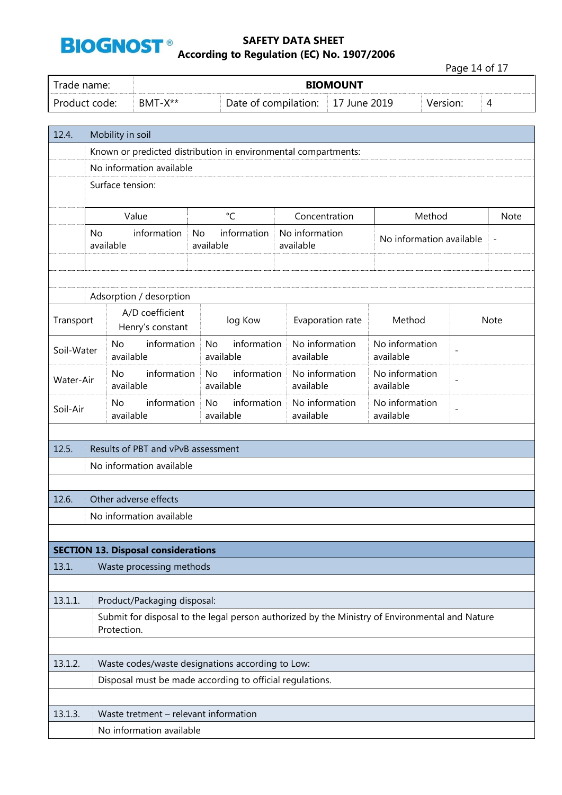

Page 14 of 17

| Trade name:   | <b>BIOMOUNT</b> |                      |                    |          |   |  |
|---------------|-----------------|----------------------|--------------------|----------|---|--|
| Product code: | $BMT-X**$       | Date of compilation: | $\pm 17$ June 2019 | version: | 4 |  |

| 12.4.      | Mobility in soil                                                                                              |                                            |                                                          |  |                             |                                                         |                |      |  |  |  |
|------------|---------------------------------------------------------------------------------------------------------------|--------------------------------------------|----------------------------------------------------------|--|-----------------------------|---------------------------------------------------------|----------------|------|--|--|--|
|            | Known or predicted distribution in environmental compartments:                                                |                                            |                                                          |  |                             |                                                         |                |      |  |  |  |
|            | No information available                                                                                      |                                            |                                                          |  |                             |                                                         |                |      |  |  |  |
|            | Surface tension:                                                                                              |                                            |                                                          |  |                             |                                                         |                |      |  |  |  |
|            | $^{\circ}$ C<br>Value<br>Concentration<br>Method<br><b>Note</b>                                               |                                            |                                                          |  |                             |                                                         |                |      |  |  |  |
|            | No                                                                                                            | information<br>available                   | information<br><b>No</b><br>available                    |  | No information<br>available | No information available                                |                |      |  |  |  |
|            |                                                                                                               | Adsorption / desorption                    |                                                          |  |                             |                                                         |                |      |  |  |  |
| Transport  |                                                                                                               | A/D coefficient<br>Henry's constant        | log Kow                                                  |  | Evaporation rate            | Method                                                  |                | Note |  |  |  |
| Soil-Water |                                                                                                               | information<br>No<br>available             | information<br><b>No</b><br>available                    |  | No information<br>available | No information<br>available                             | $\overline{a}$ |      |  |  |  |
| Water-Air  |                                                                                                               | information<br><b>No</b><br>available      | information<br>No<br>available                           |  | No information<br>available | No information<br>available                             | $\overline{a}$ |      |  |  |  |
| Soil-Air   |                                                                                                               | information<br><b>No</b><br>available      | information<br><b>No</b><br>available                    |  | No information<br>available | No information<br>$\overline{\phantom{0}}$<br>available |                |      |  |  |  |
|            |                                                                                                               |                                            |                                                          |  |                             |                                                         |                |      |  |  |  |
| 12.5.      |                                                                                                               | Results of PBT and vPvB assessment         |                                                          |  |                             |                                                         |                |      |  |  |  |
|            |                                                                                                               | No information available                   |                                                          |  |                             |                                                         |                |      |  |  |  |
| 12.6.      |                                                                                                               | Other adverse effects                      |                                                          |  |                             |                                                         |                |      |  |  |  |
|            |                                                                                                               | No information available                   |                                                          |  |                             |                                                         |                |      |  |  |  |
|            |                                                                                                               |                                            |                                                          |  |                             |                                                         |                |      |  |  |  |
|            |                                                                                                               | <b>SECTION 13. Disposal considerations</b> |                                                          |  |                             |                                                         |                |      |  |  |  |
| 13.1.      |                                                                                                               | Waste processing methods                   |                                                          |  |                             |                                                         |                |      |  |  |  |
|            |                                                                                                               |                                            |                                                          |  |                             |                                                         |                |      |  |  |  |
| 13.1.1.    |                                                                                                               | Product/Packaging disposal:                |                                                          |  |                             |                                                         |                |      |  |  |  |
|            | Submit for disposal to the legal person authorized by the Ministry of Environmental and Nature<br>Protection. |                                            |                                                          |  |                             |                                                         |                |      |  |  |  |
|            |                                                                                                               |                                            |                                                          |  |                             |                                                         |                |      |  |  |  |
| 13.1.2.    |                                                                                                               |                                            | Waste codes/waste designations according to Low:         |  |                             |                                                         |                |      |  |  |  |
|            |                                                                                                               |                                            | Disposal must be made according to official regulations. |  |                             |                                                         |                |      |  |  |  |
|            |                                                                                                               |                                            |                                                          |  |                             |                                                         |                |      |  |  |  |
| 13.1.3.    |                                                                                                               | Waste tretment - relevant information      |                                                          |  |                             |                                                         |                |      |  |  |  |
|            |                                                                                                               | No information available                   |                                                          |  |                             |                                                         |                |      |  |  |  |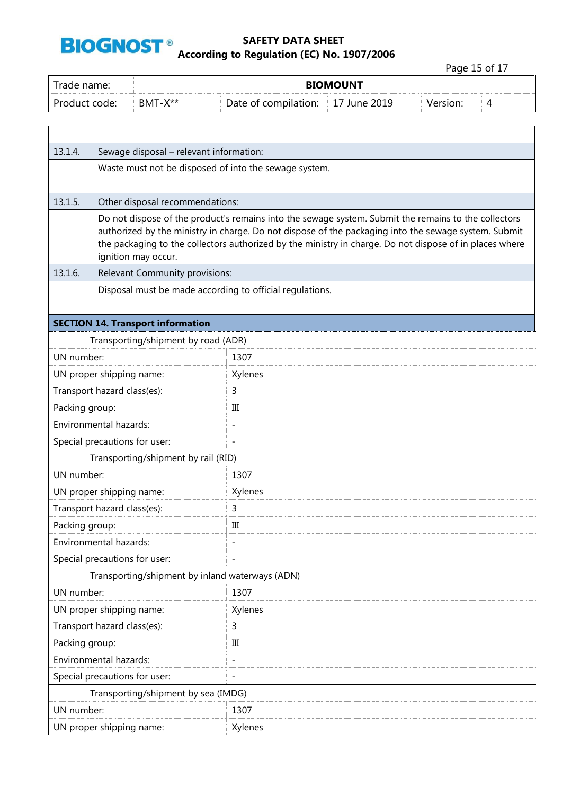

# **SAFETY DATA SHEET BIOGNOST**<sup>®</sup><br>According to Regulation (EC) No. 1907/2006

Page 15 of 17 Trade name: **BIOMOUNT**  Product code: BMT-X\*\* Date of compilation: 17 June 2019 Version: 4 13.1.4. Sewage disposal – relevant information: Waste must not be disposed of into the sewage system. 13.1.5. Other disposal recommendations: Do not dispose of the product's remains into the sewage system. Submit the remains to the collectors authorized by the ministry in charge. Do not dispose of the packaging into the sewage system. Submit the packaging to the collectors authorized by the ministry in charge. Do not dispose of in places where ignition may occur. 13.1.6. Relevant Community provisions: Disposal must be made according to official regulations. **SECTION 14. Transport information** Transporting/shipment by road (ADR) UN number: 1307 UN proper shipping name: Xylenes Transport hazard class(es): 3 Packing group: III Environmental hazards: - Special precautions for user: Transporting/shipment by rail (RID) UN number: 1307 UN proper shipping name: Xylenes Transport hazard class(es): 3 Packing group: III Environmental hazards: The state of the state of the state of the state of the state of the state of the state of the state of the state of the state of the state of the state of the state of the state of the state of the Special precautions for user: Transporting/shipment by inland waterways (ADN) UN number: 1307 UN proper shipping name: Xylenes Transport hazard class(es): 3 Packing group: III Environmental hazards: The contract of the set of the set of the set of the set of the set of the set of the set of the set of the set of the set of the set of the set of the set of the set of the set of the set of the set Special precautions for user: Transporting/shipment by sea (IMDG) UN number: 1307 UN proper shipping name: Xylenes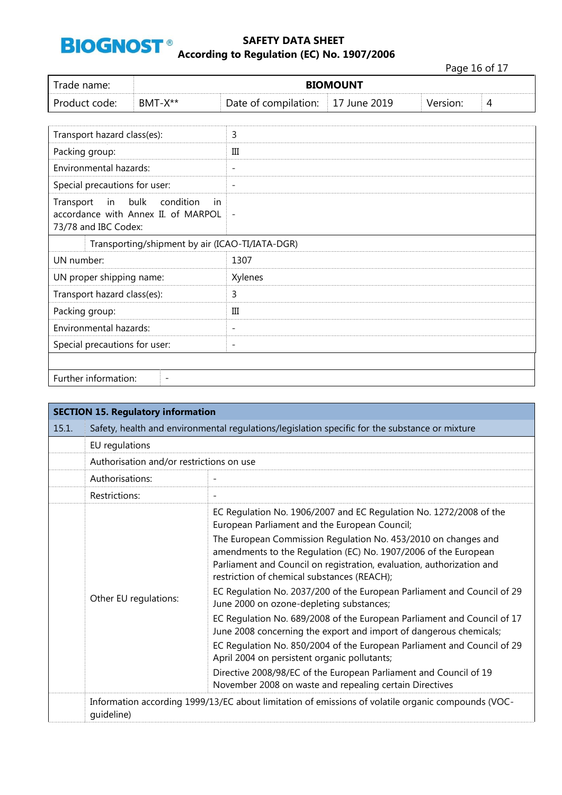

Page 16 of 17

| Trade name:   | <b>BIOMOUNT</b> |                                   |  |          |  |  |  |  |
|---------------|-----------------|-----------------------------------|--|----------|--|--|--|--|
| Product code: | $BMT-X^{**}$    | Date of compilation: 17 June 2019 |  | Version: |  |  |  |  |
|               |                 |                                   |  |          |  |  |  |  |

| Transport hazard class(es):                                                                             | 3                        |
|---------------------------------------------------------------------------------------------------------|--------------------------|
| Packing group:                                                                                          | Ш                        |
| Environmental hazards:                                                                                  | $\overline{\phantom{a}}$ |
| Special precautions for user:                                                                           | $\overline{\phantom{a}}$ |
| in bulk<br>condition<br>Transport<br>-in<br>accordance with Annex II. of MARPOL<br>73/78 and IBC Codex: | $\overline{\phantom{a}}$ |
| Transporting/shipment by air (ICAO-TI/IATA-DGR)                                                         |                          |
| UN number:                                                                                              | 1307                     |
| UN proper shipping name:                                                                                | Xylenes                  |
| Transport hazard class(es):                                                                             | 3                        |
| Packing group:                                                                                          | III                      |
| Environmental hazards:                                                                                  | $\overline{\phantom{a}}$ |
| Special precautions for user:                                                                           | $\overline{\phantom{a}}$ |
|                                                                                                         |                          |
| Further information:                                                                                    |                          |

| <b>SECTION 15. Regulatory information</b> |                                                                                                                  |                                                                                                                                                                                                                                                           |  |  |
|-------------------------------------------|------------------------------------------------------------------------------------------------------------------|-----------------------------------------------------------------------------------------------------------------------------------------------------------------------------------------------------------------------------------------------------------|--|--|
| 15.1.                                     | Safety, health and environmental regulations/legislation specific for the substance or mixture                   |                                                                                                                                                                                                                                                           |  |  |
|                                           | EU regulations                                                                                                   |                                                                                                                                                                                                                                                           |  |  |
|                                           | Authorisation and/or restrictions on use                                                                         |                                                                                                                                                                                                                                                           |  |  |
|                                           | Authorisations:                                                                                                  |                                                                                                                                                                                                                                                           |  |  |
|                                           | Restrictions:                                                                                                    |                                                                                                                                                                                                                                                           |  |  |
|                                           | Other EU regulations:                                                                                            | EC Regulation No. 1906/2007 and EC Regulation No. 1272/2008 of the<br>European Parliament and the European Council;                                                                                                                                       |  |  |
|                                           |                                                                                                                  | The European Commission Regulation No. 453/2010 on changes and<br>amendments to the Regulation (EC) No. 1907/2006 of the European<br>Parliament and Council on registration, evaluation, authorization and<br>restriction of chemical substances (REACH); |  |  |
|                                           |                                                                                                                  | EC Regulation No. 2037/200 of the European Parliament and Council of 29<br>June 2000 on ozone-depleting substances;                                                                                                                                       |  |  |
|                                           |                                                                                                                  | EC Regulation No. 689/2008 of the European Parliament and Council of 17<br>June 2008 concerning the export and import of dangerous chemicals;                                                                                                             |  |  |
|                                           |                                                                                                                  | EC Regulation No. 850/2004 of the European Parliament and Council of 29<br>April 2004 on persistent organic pollutants;                                                                                                                                   |  |  |
|                                           |                                                                                                                  | Directive 2008/98/EC of the European Parliament and Council of 19<br>November 2008 on waste and repealing certain Directives                                                                                                                              |  |  |
|                                           | Information according 1999/13/EC about limitation of emissions of volatile organic compounds (VOC-<br>quideline) |                                                                                                                                                                                                                                                           |  |  |